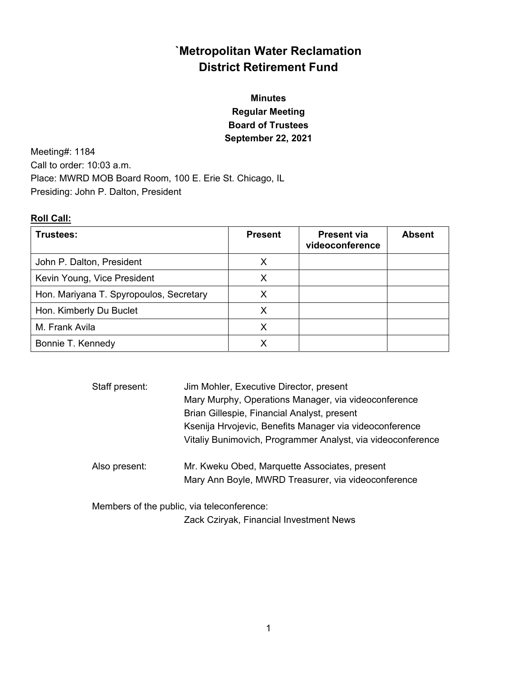# **`Metropolitan Water Reclamation District Retirement Fund**

# **Minutes Regular Meeting Board of Trustees September 22, 2021**

Meeting#: 1184 Call to order: 10:03 a.m. Place: MWRD MOB Board Room, 100 E. Erie St. Chicago, IL Presiding: John P. Dalton, President

# **Roll Call:**

| Trustees:                               | <b>Present</b> | <b>Present via</b><br>videoconference | <b>Absent</b> |
|-----------------------------------------|----------------|---------------------------------------|---------------|
| John P. Dalton, President               | x              |                                       |               |
| Kevin Young, Vice President             | X              |                                       |               |
| Hon. Mariyana T. Spyropoulos, Secretary | X              |                                       |               |
| Hon. Kimberly Du Buclet                 | Х              |                                       |               |
| M. Frank Avila                          | Х              |                                       |               |
| Bonnie T. Kennedy                       |                |                                       |               |

| Staff present: | Jim Mohler, Executive Director, present<br>Mary Murphy, Operations Manager, via videoconference |
|----------------|-------------------------------------------------------------------------------------------------|
|                | Brian Gillespie, Financial Analyst, present                                                     |
|                | Ksenija Hrvojevic, Benefits Manager via videoconference                                         |
|                | Vitaliy Bunimovich, Programmer Analyst, via videoconference                                     |
| Also present:  | Mr. Kweku Obed, Marquette Associates, present                                                   |
|                | Mary Ann Boyle, MWRD Treasurer, via videoconference                                             |
|                | Members of the public, via teleconference:                                                      |

Zack Cziryak, Financial Investment News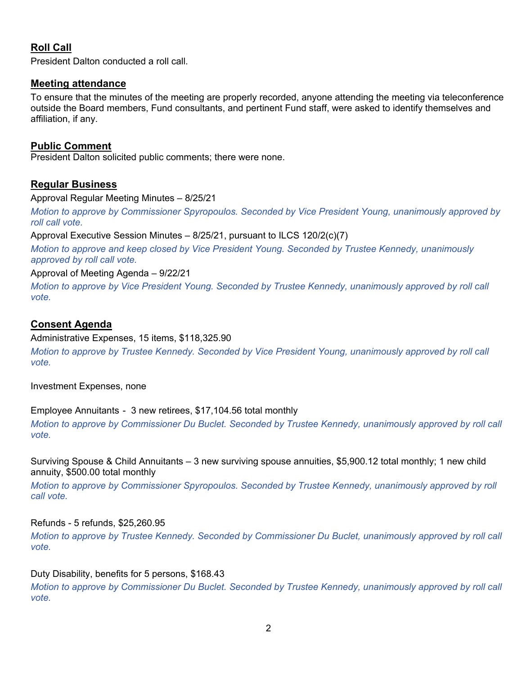# **Roll Call**

President Dalton conducted a roll call.

## **Meeting attendance**

To ensure that the minutes of the meeting are properly recorded, anyone attending the meeting via teleconference outside the Board members, Fund consultants, and pertinent Fund staff, were asked to identify themselves and affiliation, if any.

## **Public Comment**

President Dalton solicited public comments; there were none.

# **Regular Business**

#### Approval Regular Meeting Minutes – 8/25/21

*Motion to approve by Commissioner Spyropoulos. Seconded by Vice President Young, unanimously approved by roll call vote.*

Approval Executive Session Minutes – 8/25/21, pursuant to ILCS 120/2(c)(7)

*Motion to approve and keep closed by Vice President Young. Seconded by Trustee Kennedy, unanimously approved by roll call vote.* 

## Approval of Meeting Agenda – 9/22/21

*Motion to approve by Vice President Young. Seconded by Trustee Kennedy, unanimously approved by roll call vote.* 

## **Consent Agenda**

#### Administrative Expenses, 15 items, \$118,325.90

*Motion to approve by Trustee Kennedy. Seconded by Vice President Young, unanimously approved by roll call vote.* 

Investment Expenses, none

## Employee Annuitants - 3 new retirees, \$17,104.56 total monthly

*Motion to approve by Commissioner Du Buclet. Seconded by Trustee Kennedy, unanimously approved by roll call vote.* 

Surviving Spouse & Child Annuitants – 3 new surviving spouse annuities, \$5,900.12 total monthly; 1 new child annuity, \$500.00 total monthly

*Motion to approve by Commissioner Spyropoulos. Seconded by Trustee Kennedy, unanimously approved by roll call vote.* 

## Refunds - 5 refunds, \$25,260.95

*Motion to approve by Trustee Kennedy. Seconded by Commissioner Du Buclet, unanimously approved by roll call vote.* 

## Duty Disability, benefits for 5 persons, \$168.43

*Motion to approve by Commissioner Du Buclet. Seconded by Trustee Kennedy, unanimously approved by roll call vote.*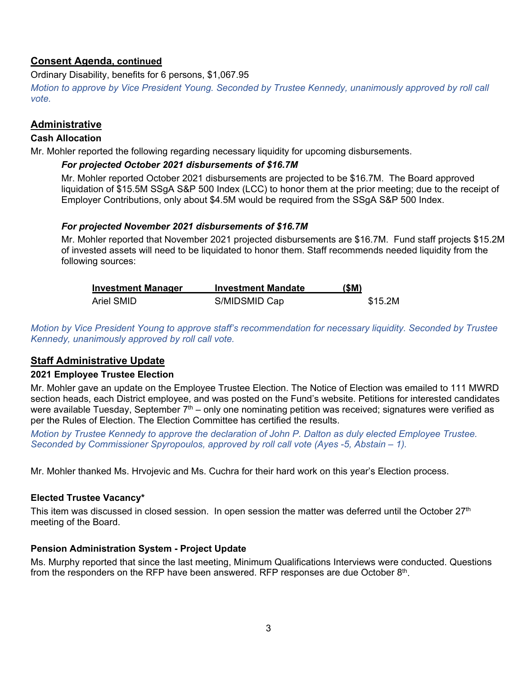# **Consent Agenda, continued**

Ordinary Disability, benefits for 6 persons, \$1,067.95

*Motion to approve by Vice President Young. Seconded by Trustee Kennedy, unanimously approved by roll call vote.*

# **Administrative**

## **Cash Allocation**

Mr. Mohler reported the following regarding necessary liquidity for upcoming disbursements.

## *For projected October 2021 disbursements of \$16.7M*

Mr. Mohler reported October 2021 disbursements are projected to be \$16.7M. The Board approved liquidation of \$15.5M SSgA S&P 500 Index (LCC) to honor them at the prior meeting; due to the receipt of Employer Contributions, only about \$4.5M would be required from the SSgA S&P 500 Index.

## *For projected November 2021 disbursements of \$16.7M*

Mr. Mohler reported that November 2021 projected disbursements are \$16.7M. Fund staff projects \$15.2M of invested assets will need to be liquidated to honor them. Staff recommends needed liquidity from the following sources:

| <b>Investment Manager</b> | <b>Investment Mandate</b> | (\$M)   |
|---------------------------|---------------------------|---------|
| Ariel SMID                | S/MIDSMID Cap             | \$15.2M |

*Motion by Vice President Young to approve staff's recommendation for necessary liquidity. Seconded by Trustee Kennedy, unanimously approved by roll call vote.* 

# **Staff Administrative Update**

## **2021 Employee Trustee Election**

Mr. Mohler gave an update on the Employee Trustee Election. The Notice of Election was emailed to 111 MWRD section heads, each District employee, and was posted on the Fund's website. Petitions for interested candidates were available Tuesday, September  $7<sup>th</sup>$  – only one nominating petition was received; signatures were verified as per the Rules of Election. The Election Committee has certified the results.

*Motion by Trustee Kennedy to approve the declaration of John P. Dalton as duly elected Employee Trustee. Seconded by Commissioner Spyropoulos, approved by roll call vote (Ayes -5, Abstain – 1).* 

Mr. Mohler thanked Ms. Hrvojevic and Ms. Cuchra for their hard work on this year's Election process.

## **Elected Trustee Vacancy\***

This item was discussed in closed session. In open session the matter was deferred until the October 27<sup>th</sup> meeting of the Board.

# **Pension Administration System - Project Update**

Ms. Murphy reported that since the last meeting, Minimum Qualifications Interviews were conducted. Questions from the responders on the RFP have been answered. RFP responses are due October 8th.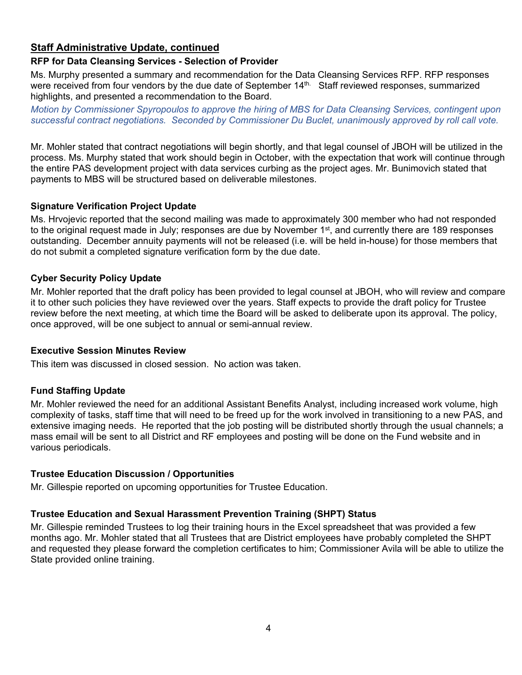# **Staff Administrative Update, continued**

## **RFP for Data Cleansing Services - Selection of Provider**

Ms. Murphy presented a summary and recommendation for the Data Cleansing Services RFP. RFP responses were received from four vendors by the due date of September 14<sup>th.</sup> Staff reviewed responses, summarized highlights, and presented a recommendation to the Board.

*Motion by Commissioner Spyropoulos to approve the hiring of MBS for Data Cleansing Services, contingent upon successful contract negotiations. Seconded by Commissioner Du Buclet, unanimously approved by roll call vote.* 

Mr. Mohler stated that contract negotiations will begin shortly, and that legal counsel of JBOH will be utilized in the process. Ms. Murphy stated that work should begin in October, with the expectation that work will continue through the entire PAS development project with data services curbing as the project ages. Mr. Bunimovich stated that payments to MBS will be structured based on deliverable milestones.

## **Signature Verification Project Update**

Ms. Hrvojevic reported that the second mailing was made to approximately 300 member who had not responded to the original request made in July; responses are due by November 1<sup>st</sup>, and currently there are 189 responses outstanding. December annuity payments will not be released (i.e. will be held in-house) for those members that do not submit a completed signature verification form by the due date.

## **Cyber Security Policy Update**

Mr. Mohler reported that the draft policy has been provided to legal counsel at JBOH, who will review and compare it to other such policies they have reviewed over the years. Staff expects to provide the draft policy for Trustee review before the next meeting, at which time the Board will be asked to deliberate upon its approval. The policy, once approved, will be one subject to annual or semi-annual review.

## **Executive Session Minutes Review**

This item was discussed in closed session. No action was taken.

## **Fund Staffing Update**

Mr. Mohler reviewed the need for an additional Assistant Benefits Analyst, including increased work volume, high complexity of tasks, staff time that will need to be freed up for the work involved in transitioning to a new PAS, and extensive imaging needs. He reported that the job posting will be distributed shortly through the usual channels; a mass email will be sent to all District and RF employees and posting will be done on the Fund website and in various periodicals.

## **Trustee Education Discussion / Opportunities**

Mr. Gillespie reported on upcoming opportunities for Trustee Education.

## **Trustee Education and Sexual Harassment Prevention Training (SHPT) Status**

Mr. Gillespie reminded Trustees to log their training hours in the Excel spreadsheet that was provided a few months ago. Mr. Mohler stated that all Trustees that are District employees have probably completed the SHPT and requested they please forward the completion certificates to him; Commissioner Avila will be able to utilize the State provided online training.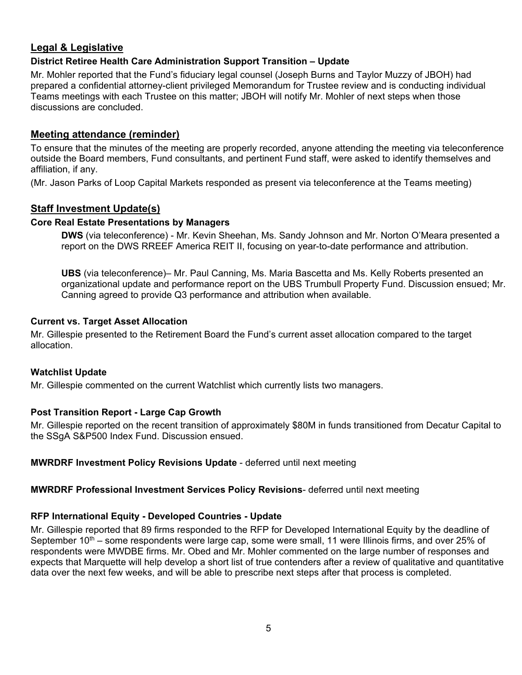# **Legal & Legislative**

# **District Retiree Health Care Administration Support Transition – Update**

Mr. Mohler reported that the Fund's fiduciary legal counsel (Joseph Burns and Taylor Muzzy of JBOH) had prepared a confidential attorney-client privileged Memorandum for Trustee review and is conducting individual Teams meetings with each Trustee on this matter; JBOH will notify Mr. Mohler of next steps when those discussions are concluded.

## **Meeting attendance (reminder)**

To ensure that the minutes of the meeting are properly recorded, anyone attending the meeting via teleconference outside the Board members, Fund consultants, and pertinent Fund staff, were asked to identify themselves and affiliation, if any.

(Mr. Jason Parks of Loop Capital Markets responded as present via teleconference at the Teams meeting)

# **Staff Investment Update(s)**

## **Core Real Estate Presentations by Managers**

**DWS** (via teleconference) - Mr. Kevin Sheehan, Ms. Sandy Johnson and Mr. Norton O'Meara presented a report on the DWS RREEF America REIT II, focusing on year-to-date performance and attribution.

**UBS** (via teleconference)– Mr. Paul Canning, Ms. Maria Bascetta and Ms. Kelly Roberts presented an organizational update and performance report on the UBS Trumbull Property Fund. Discussion ensued; Mr. Canning agreed to provide Q3 performance and attribution when available.

#### **Current vs. Target Asset Allocation**

Mr. Gillespie presented to the Retirement Board the Fund's current asset allocation compared to the target allocation.

## **Watchlist Update**

Mr. Gillespie commented on the current Watchlist which currently lists two managers.

## **Post Transition Report - Large Cap Growth**

Mr. Gillespie reported on the recent transition of approximately \$80M in funds transitioned from Decatur Capital to the SSgA S&P500 Index Fund. Discussion ensued.

## **MWRDRF Investment Policy Revisions Update** - deferred until next meeting

## **MWRDRF Professional Investment Services Policy Revisions**- deferred until next meeting

## **RFP International Equity - Developed Countries - Update**

Mr. Gillespie reported that 89 firms responded to the RFP for Developed International Equity by the deadline of September  $10<sup>th</sup>$  – some respondents were large cap, some were small, 11 were Illinois firms, and over 25% of respondents were MWDBE firms. Mr. Obed and Mr. Mohler commented on the large number of responses and expects that Marquette will help develop a short list of true contenders after a review of qualitative and quantitative data over the next few weeks, and will be able to prescribe next steps after that process is completed.